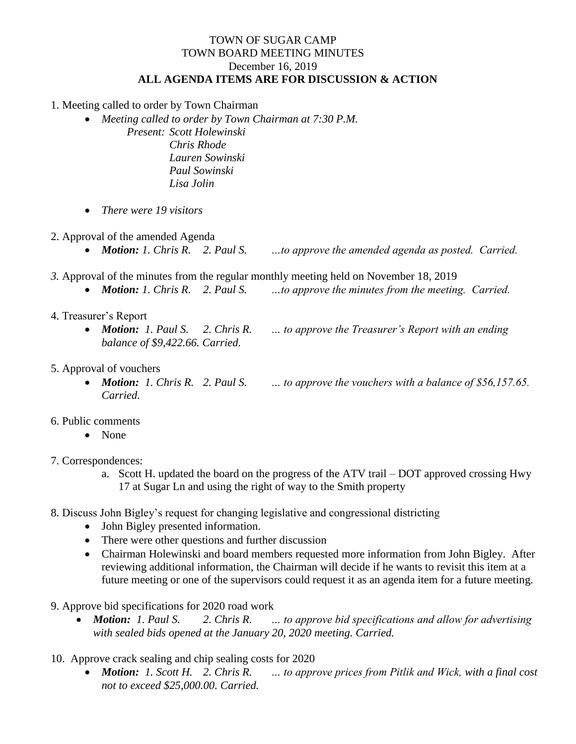## TOWN OF SUGAR CAMP TOWN BOARD MEETING MINUTES December 16, 2019 **ALL AGENDA ITEMS ARE FOR DISCUSSION & ACTION**

1. Meeting called to order by Town Chairman

- *Meeting called to order by Town Chairman at 7:30 P.M.*
	- *Present: Scott Holewinski Chris Rhode Lauren Sowinski Paul Sowinski Lisa Jolin*
- *There were 19 visitors*
- 2. Approval of the amended Agenda
	- *Motion: 1. Chris R. 2. Paul S. …to approve the amended agenda as posted. Carried.*
- *3.* Approval of the minutes from the regular monthly meeting held on November 18, 2019
	- *Motion: 1. Chris R. 2. Paul S. …to approve the minutes from the meeting. Carried.*
- 4. Treasurer's Report
	- *Motion: 1. Paul S. 2. Chris R. … to approve the Treasurer's Report with an ending balance of \$9,422.66. Carried.*
- 5. Approval of vouchers
	- *Motion: 1. Chris R. 2. Paul S. … to approve the vouchers with a balance of \$56,157.65. Carried.*
- 6. Public comments
	- None
- 7. Correspondences:
	- a. Scott H. updated the board on the progress of the ATV trail DOT approved crossing Hwy 17 at Sugar Ln and using the right of way to the Smith property
- 8. Discuss John Bigley's request for changing legislative and congressional districting
	- John Bigley presented information.
	- There were other questions and further discussion
	- Chairman Holewinski and board members requested more information from John Bigley. After reviewing additional information, the Chairman will decide if he wants to revisit this item at a future meeting or one of the supervisors could request it as an agenda item for a future meeting.
- 9. Approve bid specifications for 2020 road work
	- *Motion: 1. Paul S. 2. Chris R. … to approve bid specifications and allow for advertising with sealed bids opened at the January 20, 2020 meeting. Carried.*
- 10. Approve crack sealing and chip sealing costs for 2020
	- *Motion: 1. Scott H. 2. Chris R. … to approve prices from Pitlik and Wick, with a final cost not to exceed \$25,000.00. Carried.*